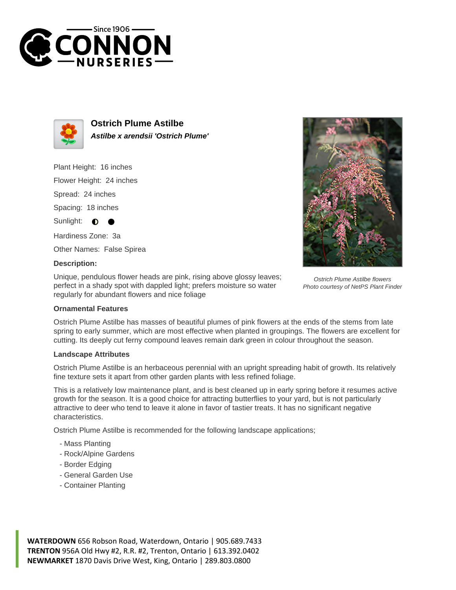



**Ostrich Plume Astilbe Astilbe x arendsii 'Ostrich Plume'**

Plant Height: 16 inches

Flower Height: 24 inches

Spread: 24 inches

Spacing: 18 inches

Sunlight:  $\bullet$ 

Hardiness Zone: 3a

Other Names: False Spirea

## **Description:**

Unique, pendulous flower heads are pink, rising above glossy leaves; perfect in a shady spot with dappled light; prefers moisture so water regularly for abundant flowers and nice foliage



## **Ornamental Features**

Ostrich Plume Astilbe has masses of beautiful plumes of pink flowers at the ends of the stems from late spring to early summer, which are most effective when planted in groupings. The flowers are excellent for cutting. Its deeply cut ferny compound leaves remain dark green in colour throughout the season.

## **Landscape Attributes**

Ostrich Plume Astilbe is an herbaceous perennial with an upright spreading habit of growth. Its relatively fine texture sets it apart from other garden plants with less refined foliage.

This is a relatively low maintenance plant, and is best cleaned up in early spring before it resumes active growth for the season. It is a good choice for attracting butterflies to your yard, but is not particularly attractive to deer who tend to leave it alone in favor of tastier treats. It has no significant negative characteristics.

Ostrich Plume Astilbe is recommended for the following landscape applications;

- Mass Planting
- Rock/Alpine Gardens
- Border Edging
- General Garden Use
- Container Planting

**WATERDOWN** 656 Robson Road, Waterdown, Ontario | 905.689.7433 **TRENTON** 956A Old Hwy #2, R.R. #2, Trenton, Ontario | 613.392.0402 **NEWMARKET** 1870 Davis Drive West, King, Ontario | 289.803.0800